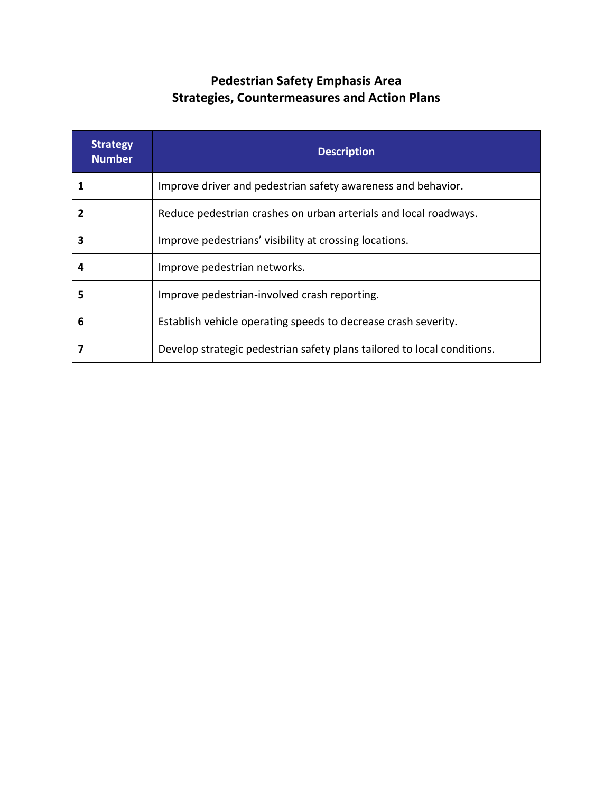## **Pedestrian Safety Emphasis Area Strategies, Countermeasures and Action Plans**

| <b>Strategy</b><br><b>Number</b> | <b>Description</b>                                                      |
|----------------------------------|-------------------------------------------------------------------------|
|                                  | Improve driver and pedestrian safety awareness and behavior.            |
| 2                                | Reduce pedestrian crashes on urban arterials and local roadways.        |
| 3                                | Improve pedestrians' visibility at crossing locations.                  |
| 4                                | Improve pedestrian networks.                                            |
| 5                                | Improve pedestrian-involved crash reporting.                            |
| 6                                | Establish vehicle operating speeds to decrease crash severity.          |
|                                  | Develop strategic pedestrian safety plans tailored to local conditions. |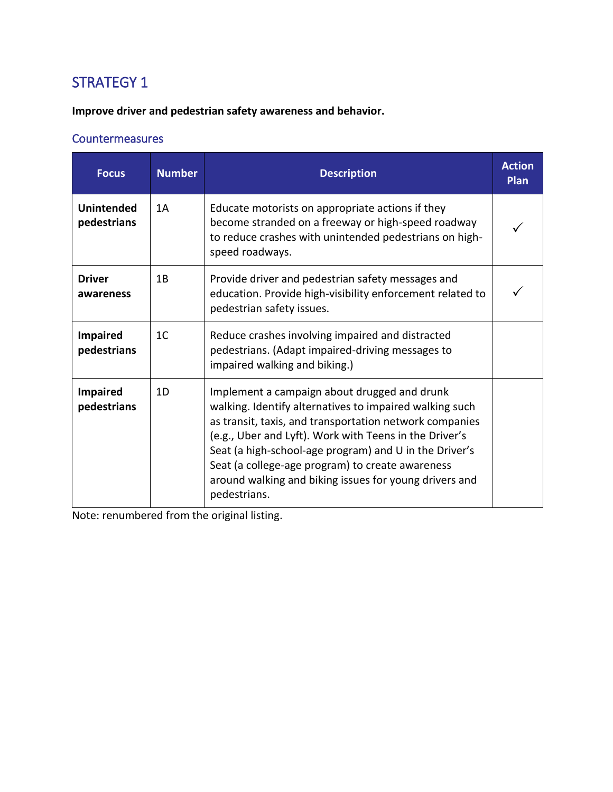**Improve driver and pedestrian safety awareness and behavior.**

#### **Countermeasures**

| <b>Focus</b>                     | <b>Number</b>  | <b>Description</b>                                                                                                                                                                                                                                                                                                                                                                                                   | <b>Action</b><br><b>Plan</b> |
|----------------------------------|----------------|----------------------------------------------------------------------------------------------------------------------------------------------------------------------------------------------------------------------------------------------------------------------------------------------------------------------------------------------------------------------------------------------------------------------|------------------------------|
| <b>Unintended</b><br>pedestrians | 1A             | Educate motorists on appropriate actions if they<br>become stranded on a freeway or high-speed roadway<br>to reduce crashes with unintended pedestrians on high-<br>speed roadways.                                                                                                                                                                                                                                  |                              |
| <b>Driver</b><br>awareness       | 1B             | Provide driver and pedestrian safety messages and<br>education. Provide high-visibility enforcement related to<br>pedestrian safety issues.                                                                                                                                                                                                                                                                          |                              |
| <b>Impaired</b><br>pedestrians   | 1 <sup>C</sup> | Reduce crashes involving impaired and distracted<br>pedestrians. (Adapt impaired-driving messages to<br>impaired walking and biking.)                                                                                                                                                                                                                                                                                |                              |
| <b>Impaired</b><br>pedestrians   | 1D             | Implement a campaign about drugged and drunk<br>walking. Identify alternatives to impaired walking such<br>as transit, taxis, and transportation network companies<br>(e.g., Uber and Lyft). Work with Teens in the Driver's<br>Seat (a high-school-age program) and U in the Driver's<br>Seat (a college-age program) to create awareness<br>around walking and biking issues for young drivers and<br>pedestrians. |                              |

Note: renumbered from the original listing.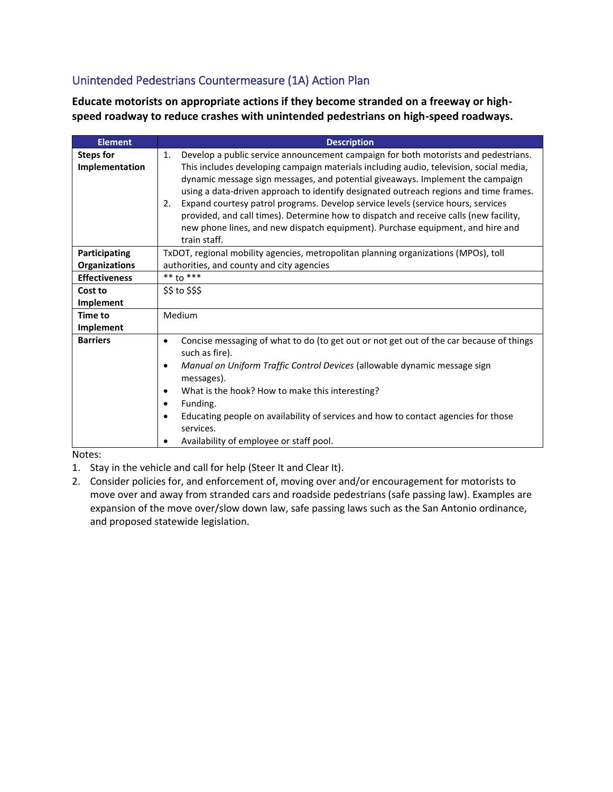#### Unintended Pedestrians Countermeasure (1A) Action Plan

**Educate motorists on appropriate actions if they become stranded on a freeway or highspeed roadway to reduce crashes with unintended pedestrians on high-speed roadways.**

| <b>Element</b>                     | <b>Description</b>                                                                                                                                                                                                                                                                                                                                                                                                                                                                                                                                                                                                                                 |  |  |
|------------------------------------|----------------------------------------------------------------------------------------------------------------------------------------------------------------------------------------------------------------------------------------------------------------------------------------------------------------------------------------------------------------------------------------------------------------------------------------------------------------------------------------------------------------------------------------------------------------------------------------------------------------------------------------------------|--|--|
| <b>Steps for</b><br>Implementation | Develop a public service announcement campaign for both motorists and pedestrians.<br>1.<br>This includes developing campaign materials including audio, television, social media,<br>dynamic message sign messages, and potential giveaways. Implement the campaign<br>using a data-driven approach to identify designated outreach regions and time frames.<br>Expand courtesy patrol programs. Develop service levels (service hours, services<br>2.<br>provided, and call times). Determine how to dispatch and receive calls (new facility,<br>new phone lines, and new dispatch equipment). Purchase equipment, and hire and<br>train staff. |  |  |
| Participating                      | TxDOT, regional mobility agencies, metropolitan planning organizations (MPOs), toll                                                                                                                                                                                                                                                                                                                                                                                                                                                                                                                                                                |  |  |
| <b>Organizations</b>               | authorities, and county and city agencies                                                                                                                                                                                                                                                                                                                                                                                                                                                                                                                                                                                                          |  |  |
| <b>Effectiveness</b>               | $***$ to $***$                                                                                                                                                                                                                                                                                                                                                                                                                                                                                                                                                                                                                                     |  |  |
| Cost to                            | \$\$ to \$\$\$                                                                                                                                                                                                                                                                                                                                                                                                                                                                                                                                                                                                                                     |  |  |
| Implement                          |                                                                                                                                                                                                                                                                                                                                                                                                                                                                                                                                                                                                                                                    |  |  |
| <b>Time to</b>                     | Medium                                                                                                                                                                                                                                                                                                                                                                                                                                                                                                                                                                                                                                             |  |  |
| Implement                          |                                                                                                                                                                                                                                                                                                                                                                                                                                                                                                                                                                                                                                                    |  |  |
| <b>Barriers</b>                    | Concise messaging of what to do (to get out or not get out of the car because of things<br>$\bullet$<br>such as fire).<br>Manual on Uniform Traffic Control Devices (allowable dynamic message sign<br>$\bullet$<br>messages).<br>What is the hook? How to make this interesting?<br>Funding.<br>٠<br>Educating people on availability of services and how to contact agencies for those<br>services.                                                                                                                                                                                                                                              |  |  |
|                                    | Availability of employee or staff pool.                                                                                                                                                                                                                                                                                                                                                                                                                                                                                                                                                                                                            |  |  |

Notes:

1. Stay in the vehicle and call for help (Steer It and Clear It).

2. Consider policies for, and enforcement of, moving over and/or encouragement for motorists to move over and away from stranded cars and roadside pedestrians (safe passing law). Examples are expansion of the move over/slow down law, safe passing laws such as the San Antonio ordinance, and proposed statewide legislation.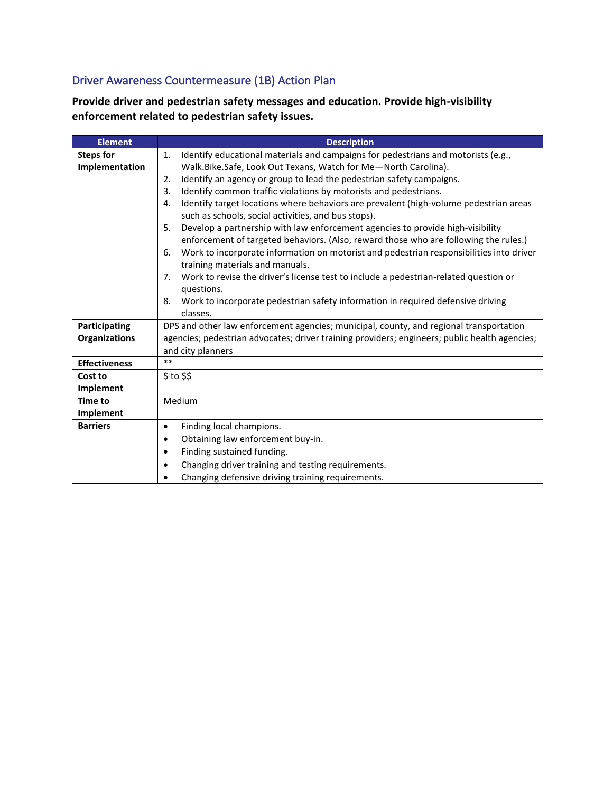### Driver Awareness Countermeasure (1B) Action Plan

**Provide driver and pedestrian safety messages and education. Provide high-visibility enforcement related to pedestrian safety issues.**

| <b>Element</b>       | <b>Description</b>                                                                            |
|----------------------|-----------------------------------------------------------------------------------------------|
| <b>Steps for</b>     | Identify educational materials and campaigns for pedestrians and motorists (e.g.,<br>1.       |
| Implementation       | Walk.Bike.Safe, Look Out Texans, Watch for Me-North Carolina).                                |
|                      | Identify an agency or group to lead the pedestrian safety campaigns.<br>2.                    |
|                      | Identify common traffic violations by motorists and pedestrians.<br>3.                        |
|                      | Identify target locations where behaviors are prevalent (high-volume pedestrian areas<br>4.   |
|                      | such as schools, social activities, and bus stops).                                           |
|                      | Develop a partnership with law enforcement agencies to provide high-visibility<br>5.          |
|                      | enforcement of targeted behaviors. (Also, reward those who are following the rules.)          |
|                      | Work to incorporate information on motorist and pedestrian responsibilities into driver<br>6. |
|                      | training materials and manuals.                                                               |
|                      | Work to revise the driver's license test to include a pedestrian-related question or<br>7.    |
|                      | questions.                                                                                    |
|                      | Work to incorporate pedestrian safety information in required defensive driving<br>8.         |
|                      | classes.                                                                                      |
| Participating        | DPS and other law enforcement agencies; municipal, county, and regional transportation        |
| <b>Organizations</b> | agencies; pedestrian advocates; driver training providers; engineers; public health agencies; |
|                      | and city planners                                                                             |
| <b>Effectiveness</b> | $**$                                                                                          |
| Cost to              | $$$ to $$$                                                                                    |
| Implement            |                                                                                               |
| <b>Time to</b>       | Medium                                                                                        |
| Implement            |                                                                                               |
| <b>Barriers</b>      | Finding local champions.<br>$\bullet$                                                         |
|                      | Obtaining law enforcement buy-in.<br>$\bullet$                                                |
|                      | Finding sustained funding.<br>٠                                                               |
|                      | Changing driver training and testing requirements.<br>٠                                       |
|                      | Changing defensive driving training requirements.                                             |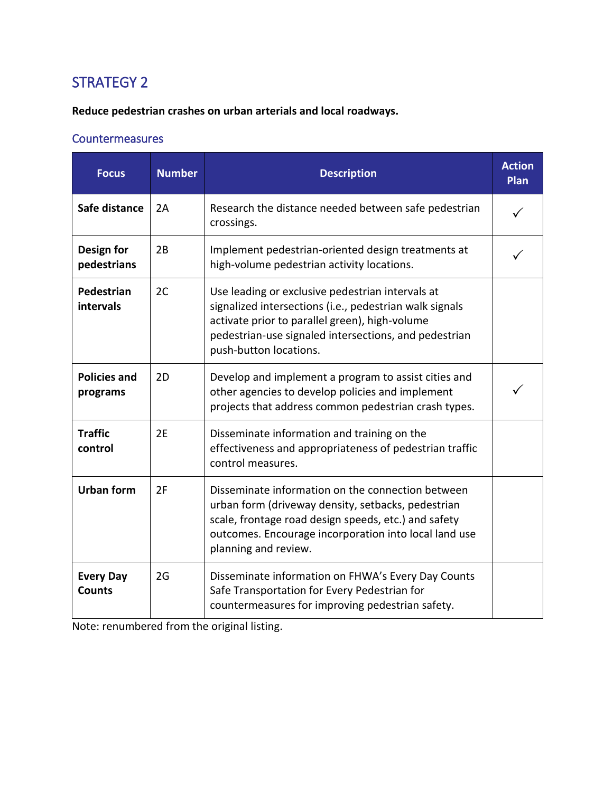**Reduce pedestrian crashes on urban arterials and local roadways.**

#### **Countermeasures**

| <b>Focus</b>                      | <b>Number</b> | <b>Description</b>                                                                                                                                                                                                                               | <b>Action</b><br>Plan |
|-----------------------------------|---------------|--------------------------------------------------------------------------------------------------------------------------------------------------------------------------------------------------------------------------------------------------|-----------------------|
| Safe distance                     | 2A            | Research the distance needed between safe pedestrian<br>crossings.                                                                                                                                                                               |                       |
| Design for<br>pedestrians         | 2B            | Implement pedestrian-oriented design treatments at<br>high-volume pedestrian activity locations.                                                                                                                                                 |                       |
| Pedestrian<br>intervals           | 2C            | Use leading or exclusive pedestrian intervals at<br>signalized intersections (i.e., pedestrian walk signals<br>activate prior to parallel green), high-volume<br>pedestrian-use signaled intersections, and pedestrian<br>push-button locations. |                       |
| <b>Policies and</b><br>programs   | 2D            | Develop and implement a program to assist cities and<br>other agencies to develop policies and implement<br>projects that address common pedestrian crash types.                                                                                 |                       |
| <b>Traffic</b><br>control         | 2E            | Disseminate information and training on the<br>effectiveness and appropriateness of pedestrian traffic<br>control measures.                                                                                                                      |                       |
| <b>Urban form</b>                 | 2F            | Disseminate information on the connection between<br>urban form (driveway density, setbacks, pedestrian<br>scale, frontage road design speeds, etc.) and safety<br>outcomes. Encourage incorporation into local land use<br>planning and review. |                       |
| <b>Every Day</b><br><b>Counts</b> | 2G            | Disseminate information on FHWA's Every Day Counts<br>Safe Transportation for Every Pedestrian for<br>countermeasures for improving pedestrian safety.                                                                                           |                       |

Note: renumbered from the original listing.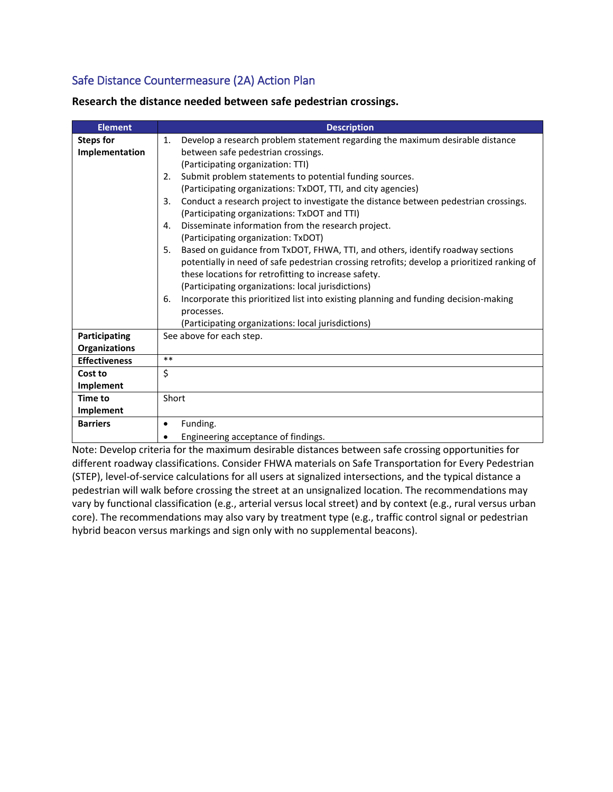#### Safe Distance Countermeasure (2A) Action Plan

| <b>Element</b>                                                                                                                             | <b>Description</b>                                                                          |  |  |  |
|--------------------------------------------------------------------------------------------------------------------------------------------|---------------------------------------------------------------------------------------------|--|--|--|
| <b>Steps for</b>                                                                                                                           | Develop a research problem statement regarding the maximum desirable distance<br>1.         |  |  |  |
| Implementation                                                                                                                             | between safe pedestrian crossings.                                                          |  |  |  |
|                                                                                                                                            | (Participating organization: TTI)                                                           |  |  |  |
|                                                                                                                                            | Submit problem statements to potential funding sources.<br>2.                               |  |  |  |
|                                                                                                                                            | (Participating organizations: TxDOT, TTI, and city agencies)                                |  |  |  |
| Conduct a research project to investigate the distance between pedestrian crossings.<br>3.<br>(Participating organizations: TxDOT and TTI) |                                                                                             |  |  |  |
|                                                                                                                                            | Disseminate information from the research project.<br>4.                                    |  |  |  |
|                                                                                                                                            | (Participating organization: TxDOT)                                                         |  |  |  |
|                                                                                                                                            | Based on guidance from TxDOT, FHWA, TTI, and others, identify roadway sections<br>5.        |  |  |  |
|                                                                                                                                            | potentially in need of safe pedestrian crossing retrofits; develop a prioritized ranking of |  |  |  |
|                                                                                                                                            | these locations for retrofitting to increase safety.                                        |  |  |  |
|                                                                                                                                            | (Participating organizations: local jurisdictions)                                          |  |  |  |
|                                                                                                                                            | Incorporate this prioritized list into existing planning and funding decision-making<br>6.  |  |  |  |
|                                                                                                                                            | processes.                                                                                  |  |  |  |
|                                                                                                                                            | (Participating organizations: local jurisdictions)                                          |  |  |  |
| Participating                                                                                                                              | See above for each step.                                                                    |  |  |  |
| <b>Organizations</b>                                                                                                                       |                                                                                             |  |  |  |
| <b>Effectiveness</b>                                                                                                                       | $***$                                                                                       |  |  |  |
| Cost to                                                                                                                                    | \$                                                                                          |  |  |  |
| Implement                                                                                                                                  |                                                                                             |  |  |  |
| Time to                                                                                                                                    | Short                                                                                       |  |  |  |
| Implement                                                                                                                                  |                                                                                             |  |  |  |
| <b>Barriers</b>                                                                                                                            | Funding.<br>٠                                                                               |  |  |  |
|                                                                                                                                            | Engineering acceptance of findings.                                                         |  |  |  |

**Research the distance needed between safe pedestrian crossings.**

Note: Develop criteria for the maximum desirable distances between safe crossing opportunities for different roadway classifications. Consider FHWA materials on Safe Transportation for Every Pedestrian (STEP), level-of-service calculations for all users at signalized intersections, and the typical distance a pedestrian will walk before crossing the street at an unsignalized location. The recommendations may vary by functional classification (e.g., arterial versus local street) and by context (e.g., rural versus urban core). The recommendations may also vary by treatment type (e.g., traffic control signal or pedestrian hybrid beacon versus markings and sign only with no supplemental beacons).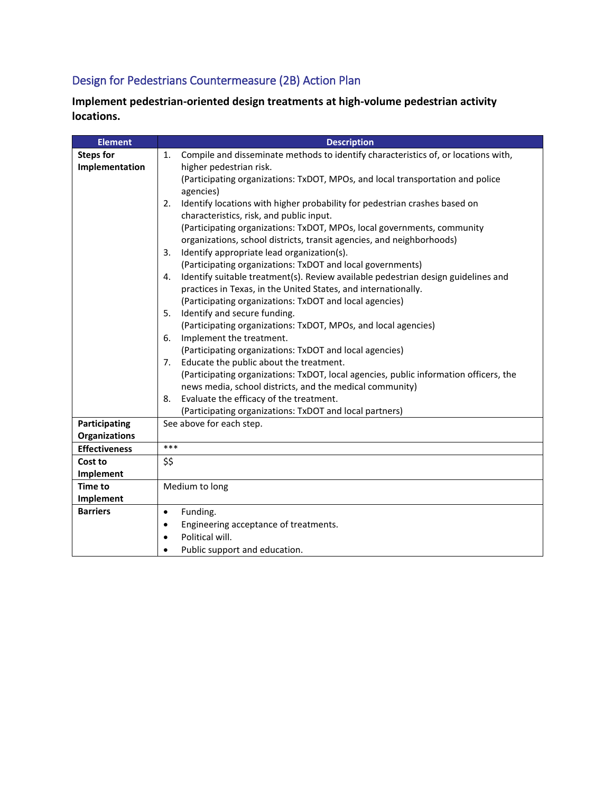## Design for Pedestrians Countermeasure (2B) Action Plan

**Implement pedestrian-oriented design treatments at high-volume pedestrian activity locations.**

| <b>Element</b>       | <b>Description</b>                                                                       |
|----------------------|------------------------------------------------------------------------------------------|
| <b>Steps for</b>     | Compile and disseminate methods to identify characteristics of, or locations with,<br>1. |
| Implementation       | higher pedestrian risk.                                                                  |
|                      | (Participating organizations: TxDOT, MPOs, and local transportation and police           |
|                      | agencies)                                                                                |
|                      | Identify locations with higher probability for pedestrian crashes based on<br>2.         |
|                      | characteristics, risk, and public input.                                                 |
|                      | (Participating organizations: TxDOT, MPOs, local governments, community                  |
|                      | organizations, school districts, transit agencies, and neighborhoods)                    |
|                      | Identify appropriate lead organization(s).<br>3.                                         |
|                      | (Participating organizations: TxDOT and local governments)                               |
|                      | Identify suitable treatment(s). Review available pedestrian design guidelines and<br>4.  |
|                      | practices in Texas, in the United States, and internationally.                           |
|                      | (Participating organizations: TxDOT and local agencies)                                  |
|                      | Identify and secure funding.<br>5.                                                       |
|                      | (Participating organizations: TxDOT, MPOs, and local agencies)                           |
|                      | Implement the treatment.<br>6.                                                           |
|                      | (Participating organizations: TxDOT and local agencies)                                  |
|                      | Educate the public about the treatment.<br>7.                                            |
|                      | (Participating organizations: TxDOT, local agencies, public information officers, the    |
|                      | news media, school districts, and the medical community)                                 |
|                      | Evaluate the efficacy of the treatment.<br>8.                                            |
|                      | (Participating organizations: TxDOT and local partners)                                  |
| Participating        | See above for each step.                                                                 |
| <b>Organizations</b> |                                                                                          |
| <b>Effectiveness</b> | ***                                                                                      |
| Cost to              | \$\$                                                                                     |
| Implement            |                                                                                          |
| <b>Time to</b>       | Medium to long                                                                           |
| Implement            |                                                                                          |
| <b>Barriers</b>      | Funding.<br>$\bullet$                                                                    |
|                      | Engineering acceptance of treatments.                                                    |
|                      | Political will.                                                                          |
|                      | Public support and education.                                                            |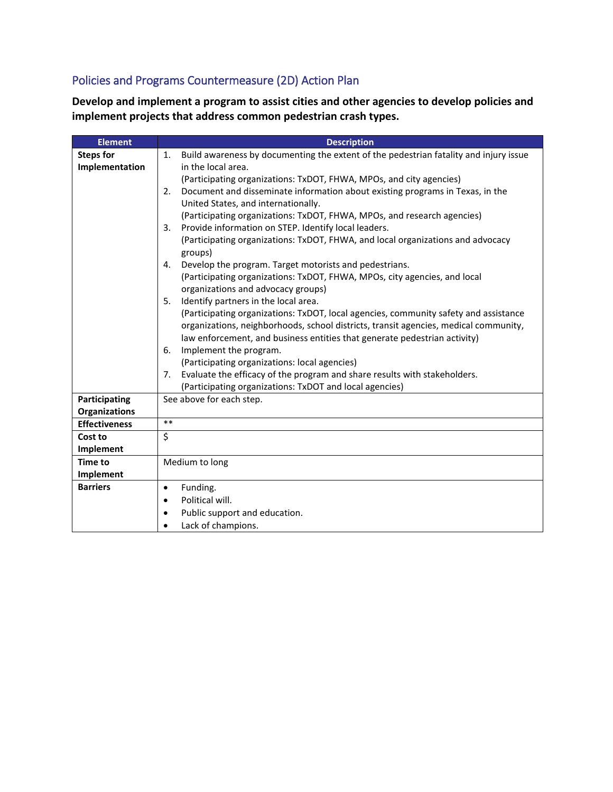## Policies and Programs Countermeasure (2D) Action Plan

**Develop and implement a program to assist cities and other agencies to develop policies and implement projects that address common pedestrian crash types.**

| <b>Element</b>       | <b>Description</b>                                                                          |
|----------------------|---------------------------------------------------------------------------------------------|
| <b>Steps for</b>     | Build awareness by documenting the extent of the pedestrian fatality and injury issue<br>1. |
| Implementation       | in the local area.                                                                          |
|                      | (Participating organizations: TxDOT, FHWA, MPOs, and city agencies)                         |
|                      | Document and disseminate information about existing programs in Texas, in the<br>2.         |
|                      | United States, and internationally.                                                         |
|                      | (Participating organizations: TxDOT, FHWA, MPOs, and research agencies)                     |
|                      | Provide information on STEP. Identify local leaders.<br>3.                                  |
|                      | (Participating organizations: TxDOT, FHWA, and local organizations and advocacy             |
|                      | groups)                                                                                     |
|                      | Develop the program. Target motorists and pedestrians.<br>4.                                |
|                      | (Participating organizations: TxDOT, FHWA, MPOs, city agencies, and local                   |
|                      | organizations and advocacy groups)                                                          |
|                      | Identify partners in the local area.<br>5.                                                  |
|                      | (Participating organizations: TxDOT, local agencies, community safety and assistance        |
|                      | organizations, neighborhoods, school districts, transit agencies, medical community,        |
|                      | law enforcement, and business entities that generate pedestrian activity)                   |
|                      | Implement the program.<br>6.                                                                |
|                      | (Participating organizations: local agencies)                                               |
|                      | Evaluate the efficacy of the program and share results with stakeholders.<br>7.             |
|                      | (Participating organizations: TxDOT and local agencies)                                     |
| Participating        | See above for each step.                                                                    |
| <b>Organizations</b> |                                                                                             |
| <b>Effectiveness</b> | $***$                                                                                       |
| Cost to              | \$                                                                                          |
| Implement            |                                                                                             |
| Time to              | Medium to long                                                                              |
| Implement            |                                                                                             |
| <b>Barriers</b>      | Funding.<br>$\bullet$                                                                       |
|                      | Political will.                                                                             |
|                      | Public support and education.                                                               |
|                      | Lack of champions.                                                                          |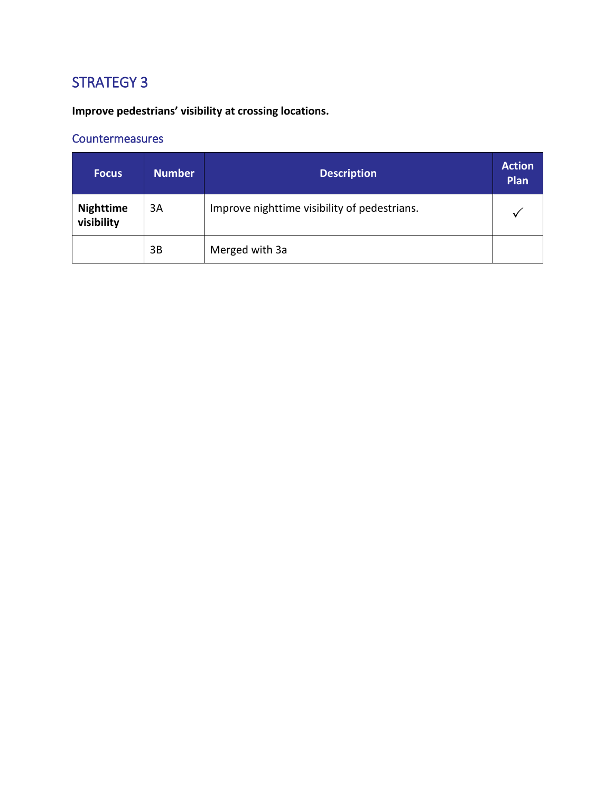**Improve pedestrians' visibility at crossing locations.**

| <b>Focus</b>                   | <b>Number</b> | <b>Description</b>                           | <b>Action</b><br>Plan |
|--------------------------------|---------------|----------------------------------------------|-----------------------|
| <b>Nighttime</b><br>visibility | 3A            | Improve nighttime visibility of pedestrians. |                       |
|                                | 3B            | Merged with 3a                               |                       |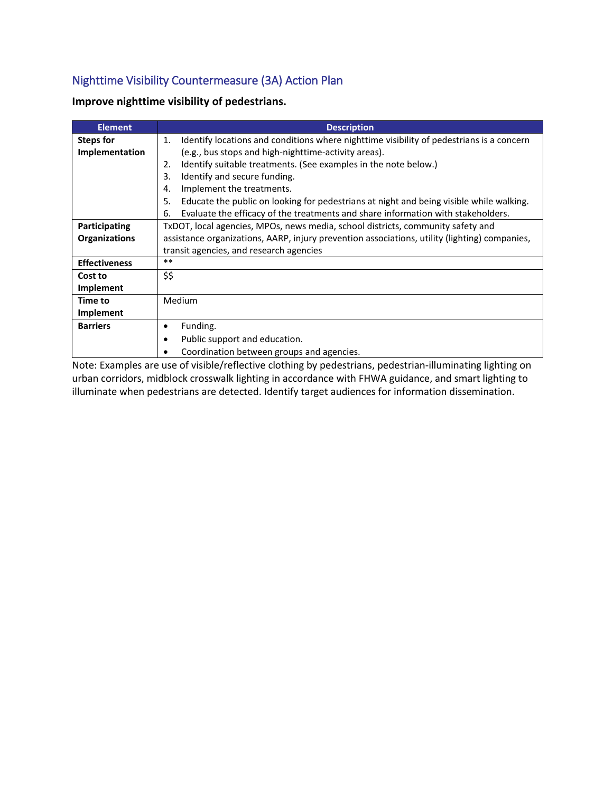### Nighttime Visibility Countermeasure (3A) Action Plan

| Improve nighttime visibility of pedestrians. |  |  |
|----------------------------------------------|--|--|
|----------------------------------------------|--|--|

| <b>Element</b>       | <b>Description</b>                                                                             |
|----------------------|------------------------------------------------------------------------------------------------|
| <b>Steps for</b>     | Identify locations and conditions where nighttime visibility of pedestrians is a concern<br>1. |
| Implementation       | (e.g., bus stops and high-nighttime-activity areas).                                           |
|                      | Identify suitable treatments. (See examples in the note below.)<br>2.                          |
|                      | Identify and secure funding.<br>3.                                                             |
|                      | Implement the treatments.<br>4.                                                                |
|                      | Educate the public on looking for pedestrians at night and being visible while walking.<br>5.  |
|                      | Evaluate the efficacy of the treatments and share information with stakeholders.<br>6.         |
| Participating        | TxDOT, local agencies, MPOs, news media, school districts, community safety and                |
| <b>Organizations</b> | assistance organizations, AARP, injury prevention associations, utility (lighting) companies,  |
|                      | transit agencies, and research agencies                                                        |
| <b>Effectiveness</b> | $***$                                                                                          |
| Cost to              | \$\$                                                                                           |
| Implement            |                                                                                                |
| Time to              | Medium                                                                                         |
| Implement            |                                                                                                |
| <b>Barriers</b>      | Funding.<br>٠                                                                                  |
|                      | Public support and education.                                                                  |
|                      | Coordination between groups and agencies.                                                      |

Note: Examples are use of visible/reflective clothing by pedestrians, pedestrian-illuminating lighting on urban corridors, midblock crosswalk lighting in accordance with FHWA guidance, and smart lighting to illuminate when pedestrians are detected. Identify target audiences for information dissemination.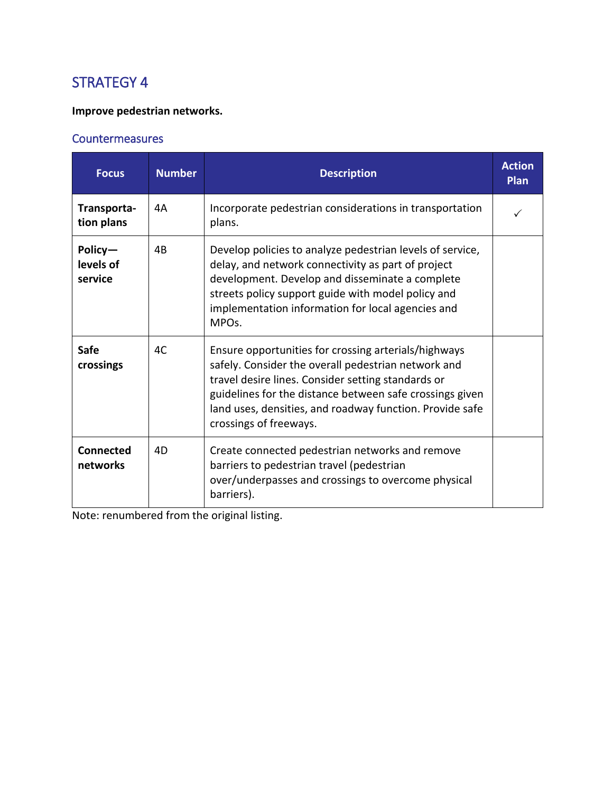#### **Improve pedestrian networks.**

#### **Countermeasures**

| <b>Focus</b>                    | <b>Number</b> | <b>Description</b>                                                                                                                                                                                                                                                                                                  | <b>Action</b><br>Plan |
|---------------------------------|---------------|---------------------------------------------------------------------------------------------------------------------------------------------------------------------------------------------------------------------------------------------------------------------------------------------------------------------|-----------------------|
| Transporta-<br>tion plans       | 4А            | Incorporate pedestrian considerations in transportation<br>plans.                                                                                                                                                                                                                                                   |                       |
| Policy-<br>levels of<br>service | 4B            | Develop policies to analyze pedestrian levels of service,<br>delay, and network connectivity as part of project<br>development. Develop and disseminate a complete<br>streets policy support guide with model policy and<br>implementation information for local agencies and<br>MPO <sub>s</sub> .                 |                       |
| <b>Safe</b><br>crossings        | 4C            | Ensure opportunities for crossing arterials/highways<br>safely. Consider the overall pedestrian network and<br>travel desire lines. Consider setting standards or<br>guidelines for the distance between safe crossings given<br>land uses, densities, and roadway function. Provide safe<br>crossings of freeways. |                       |
| <b>Connected</b><br>networks    | 4D            | Create connected pedestrian networks and remove<br>barriers to pedestrian travel (pedestrian<br>over/underpasses and crossings to overcome physical<br>barriers).                                                                                                                                                   |                       |

Note: renumbered from the original listing.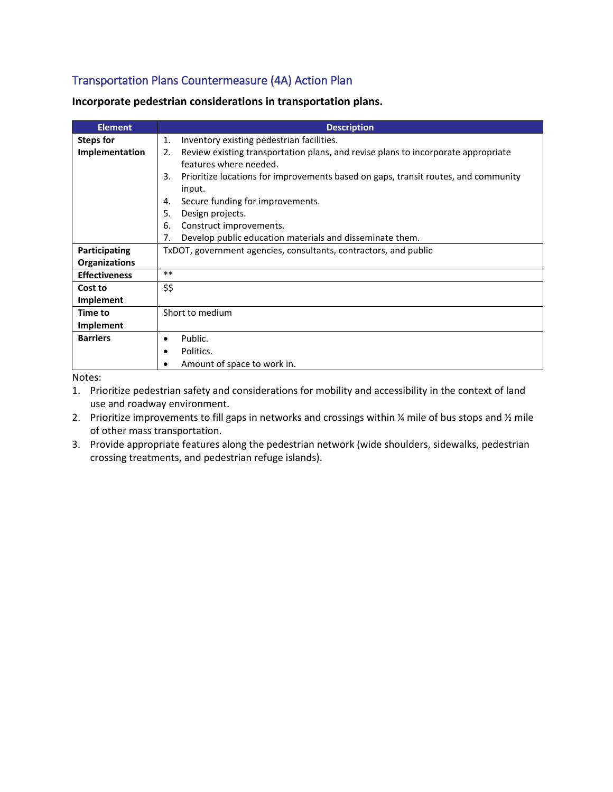#### Transportation Plans Countermeasure (4A) Action Plan

| <b>Element</b>       | <b>Description</b>                                                                       |
|----------------------|------------------------------------------------------------------------------------------|
| <b>Steps for</b>     | Inventory existing pedestrian facilities.<br>1.                                          |
| Implementation       | Review existing transportation plans, and revise plans to incorporate appropriate<br>2.  |
|                      | features where needed.                                                                   |
|                      | Prioritize locations for improvements based on gaps, transit routes, and community<br>3. |
|                      | input.                                                                                   |
|                      | Secure funding for improvements.<br>4.                                                   |
|                      | 5.<br>Design projects.                                                                   |
|                      | Construct improvements.<br>6.                                                            |
|                      | 7.<br>Develop public education materials and disseminate them.                           |
| Participating        | TxDOT, government agencies, consultants, contractors, and public                         |
| <b>Organizations</b> |                                                                                          |
| <b>Effectiveness</b> | $***$                                                                                    |
| Cost to              | \$\$                                                                                     |
| Implement            |                                                                                          |
| <b>Time to</b>       | Short to medium                                                                          |
| Implement            |                                                                                          |
| <b>Barriers</b>      | Public.<br>٠                                                                             |
|                      | Politics.<br>٠                                                                           |
|                      | Amount of space to work in.                                                              |
|                      |                                                                                          |

**Incorporate pedestrian considerations in transportation plans.**

Notes:

- 1. Prioritize pedestrian safety and considerations for mobility and accessibility in the context of land use and roadway environment.
- 2. Prioritize improvements to fill gaps in networks and crossings within % mile of bus stops and % mile of other mass transportation.
- 3. Provide appropriate features along the pedestrian network (wide shoulders, sidewalks, pedestrian crossing treatments, and pedestrian refuge islands).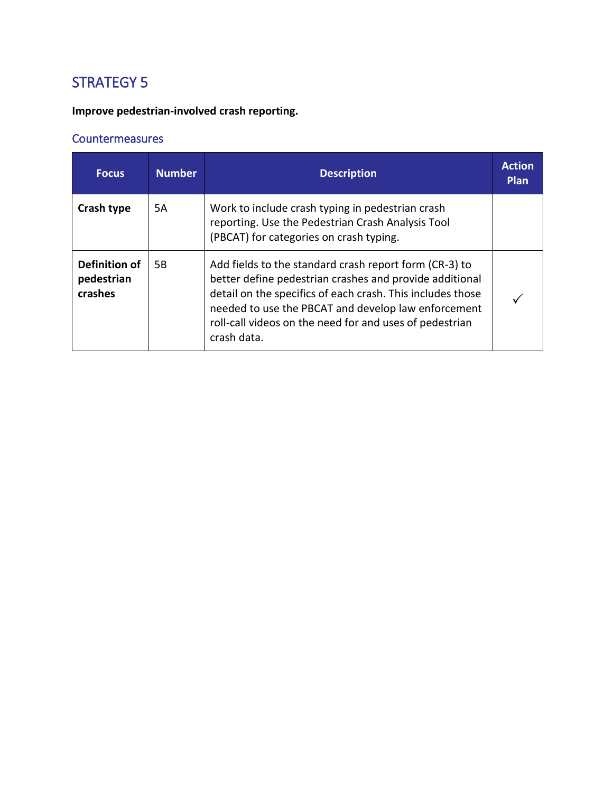**Improve pedestrian-involved crash reporting.**

| <b>Focus</b>                           | <b>Number</b> | <b>Description</b>                                                                                                                                                                                                                                                                                               | <b>Action</b><br>Plan |
|----------------------------------------|---------------|------------------------------------------------------------------------------------------------------------------------------------------------------------------------------------------------------------------------------------------------------------------------------------------------------------------|-----------------------|
| Crash type                             | 5A            | Work to include crash typing in pedestrian crash<br>reporting. Use the Pedestrian Crash Analysis Tool<br>(PBCAT) for categories on crash typing.                                                                                                                                                                 |                       |
| Definition of<br>pedestrian<br>crashes | 5B            | Add fields to the standard crash report form (CR-3) to<br>better define pedestrian crashes and provide additional<br>detail on the specifics of each crash. This includes those<br>needed to use the PBCAT and develop law enforcement<br>roll-call videos on the need for and uses of pedestrian<br>crash data. |                       |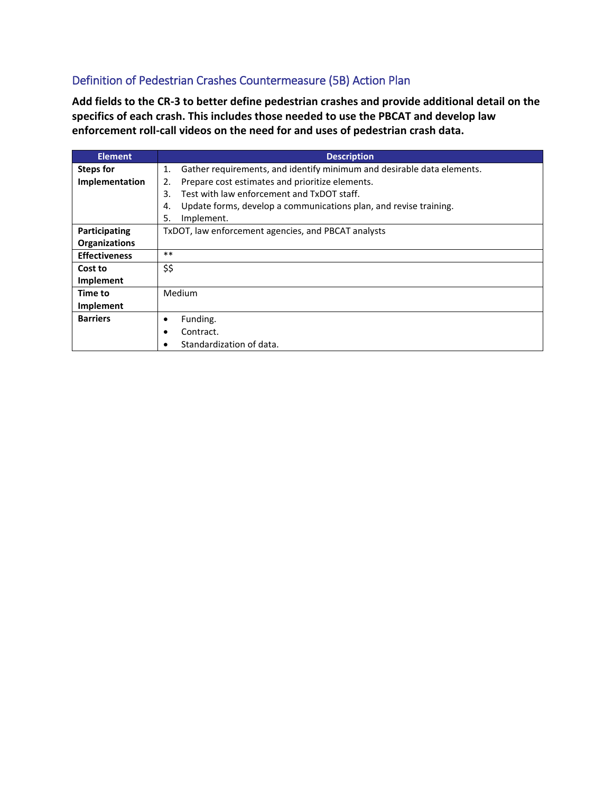#### Definition of Pedestrian Crashes Countermeasure (5B) Action Plan

**Add fields to the CR-3 to better define pedestrian crashes and provide additional detail on the specifics of each crash. This includes those needed to use the PBCAT and develop law enforcement roll-call videos on the need for and uses of pedestrian crash data.**

| <b>Element</b>       | <b>Description</b>                                                                       |
|----------------------|------------------------------------------------------------------------------------------|
| <b>Steps for</b>     | Gather requirements, and identify minimum and desirable data elements.<br>$\mathbf{1}$ . |
| Implementation       | Prepare cost estimates and prioritize elements.<br>2.                                    |
|                      | Test with law enforcement and TxDOT staff.<br>3.                                         |
|                      | Update forms, develop a communications plan, and revise training.<br>4.                  |
|                      | 5.<br>Implement.                                                                         |
| Participating        | TxDOT, law enforcement agencies, and PBCAT analysts                                      |
| <b>Organizations</b> |                                                                                          |
| <b>Effectiveness</b> | $**$                                                                                     |
| Cost to              | \$\$                                                                                     |
| Implement            |                                                                                          |
| Time to              | Medium                                                                                   |
| Implement            |                                                                                          |
| <b>Barriers</b>      | Funding.<br>٠                                                                            |
|                      | Contract.                                                                                |
|                      | Standardization of data.                                                                 |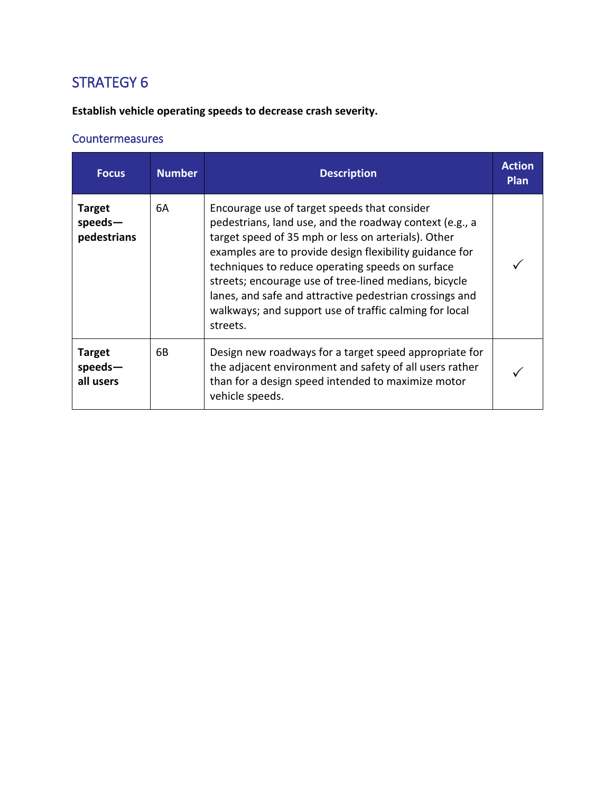**Establish vehicle operating speeds to decrease crash severity.**

| <b>Focus</b>                             | <b>Number</b> | <b>Description</b>                                                                                                                                                                                                                                                                                                                                                                                                                                                      | <b>Action</b><br><b>Plan</b> |
|------------------------------------------|---------------|-------------------------------------------------------------------------------------------------------------------------------------------------------------------------------------------------------------------------------------------------------------------------------------------------------------------------------------------------------------------------------------------------------------------------------------------------------------------------|------------------------------|
| <b>Target</b><br>speeds-<br>pedestrians  | 6A            | Encourage use of target speeds that consider<br>pedestrians, land use, and the roadway context (e.g., a<br>target speed of 35 mph or less on arterials). Other<br>examples are to provide design flexibility guidance for<br>techniques to reduce operating speeds on surface<br>streets; encourage use of tree-lined medians, bicycle<br>lanes, and safe and attractive pedestrian crossings and<br>walkways; and support use of traffic calming for local<br>streets. |                              |
| <b>Target</b><br>$speeds -$<br>all users | 6В            | Design new roadways for a target speed appropriate for<br>the adjacent environment and safety of all users rather<br>than for a design speed intended to maximize motor<br>vehicle speeds.                                                                                                                                                                                                                                                                              |                              |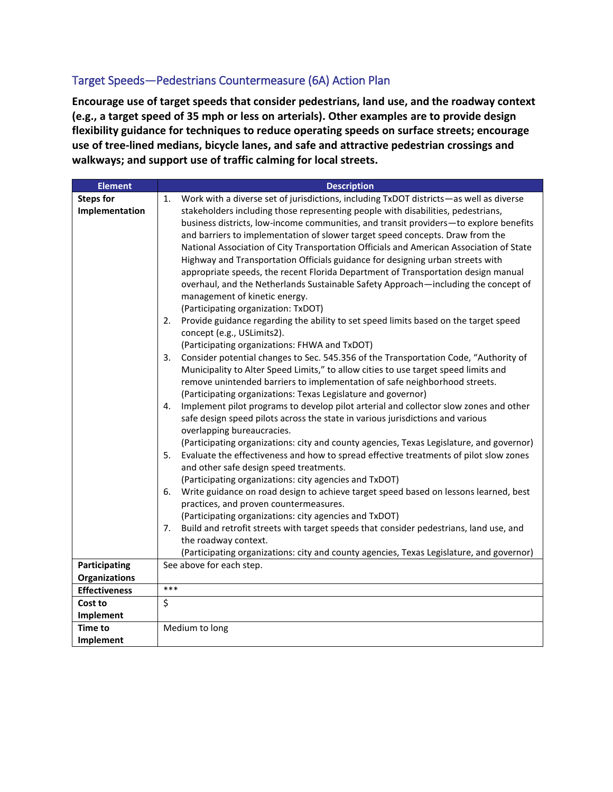#### Target Speeds—Pedestrians Countermeasure (6A) Action Plan

**Encourage use of target speeds that consider pedestrians, land use, and the roadway context (e.g., a target speed of 35 mph or less on arterials). Other examples are to provide design flexibility guidance for techniques to reduce operating speeds on surface streets; encourage use of tree-lined medians, bicycle lanes, and safe and attractive pedestrian crossings and walkways; and support use of traffic calming for local streets.**

| <b>Element</b>       | <b>Description</b>                                                                                                                                                                                                                                                                                                                                                                                                                                                                                                                                                                                                                                                                                                                                                                                                                                                                                                                                                                                                                                                                                                                                                                                                                                                                                                                                                                                                                                                                                                                                                                                                                                                                                                                                                                                                                                                 |
|----------------------|--------------------------------------------------------------------------------------------------------------------------------------------------------------------------------------------------------------------------------------------------------------------------------------------------------------------------------------------------------------------------------------------------------------------------------------------------------------------------------------------------------------------------------------------------------------------------------------------------------------------------------------------------------------------------------------------------------------------------------------------------------------------------------------------------------------------------------------------------------------------------------------------------------------------------------------------------------------------------------------------------------------------------------------------------------------------------------------------------------------------------------------------------------------------------------------------------------------------------------------------------------------------------------------------------------------------------------------------------------------------------------------------------------------------------------------------------------------------------------------------------------------------------------------------------------------------------------------------------------------------------------------------------------------------------------------------------------------------------------------------------------------------------------------------------------------------------------------------------------------------|
| <b>Steps for</b>     | Work with a diverse set of jurisdictions, including TxDOT districts-as well as diverse<br>1.                                                                                                                                                                                                                                                                                                                                                                                                                                                                                                                                                                                                                                                                                                                                                                                                                                                                                                                                                                                                                                                                                                                                                                                                                                                                                                                                                                                                                                                                                                                                                                                                                                                                                                                                                                       |
| Implementation       | stakeholders including those representing people with disabilities, pedestrians,<br>business districts, low-income communities, and transit providers-to explore benefits<br>and barriers to implementation of slower target speed concepts. Draw from the<br>National Association of City Transportation Officials and American Association of State<br>Highway and Transportation Officials guidance for designing urban streets with<br>appropriate speeds, the recent Florida Department of Transportation design manual<br>overhaul, and the Netherlands Sustainable Safety Approach—including the concept of<br>management of kinetic energy.<br>(Participating organization: TxDOT)<br>Provide guidance regarding the ability to set speed limits based on the target speed<br>2.<br>concept (e.g., USLimits2).<br>(Participating organizations: FHWA and TxDOT)<br>Consider potential changes to Sec. 545.356 of the Transportation Code, "Authority of<br>3.<br>Municipality to Alter Speed Limits," to allow cities to use target speed limits and<br>remove unintended barriers to implementation of safe neighborhood streets.<br>(Participating organizations: Texas Legislature and governor)<br>Implement pilot programs to develop pilot arterial and collector slow zones and other<br>4.<br>safe design speed pilots across the state in various jurisdictions and various<br>overlapping bureaucracies.<br>(Participating organizations: city and county agencies, Texas Legislature, and governor)<br>5.<br>Evaluate the effectiveness and how to spread effective treatments of pilot slow zones<br>and other safe design speed treatments.<br>(Participating organizations: city agencies and TxDOT)<br>Write guidance on road design to achieve target speed based on lessons learned, best<br>6.<br>practices, and proven countermeasures. |
|                      | (Participating organizations: city agencies and TxDOT)<br>Build and retrofit streets with target speeds that consider pedestrians, land use, and<br>7.                                                                                                                                                                                                                                                                                                                                                                                                                                                                                                                                                                                                                                                                                                                                                                                                                                                                                                                                                                                                                                                                                                                                                                                                                                                                                                                                                                                                                                                                                                                                                                                                                                                                                                             |
|                      | the roadway context.<br>(Participating organizations: city and county agencies, Texas Legislature, and governor)                                                                                                                                                                                                                                                                                                                                                                                                                                                                                                                                                                                                                                                                                                                                                                                                                                                                                                                                                                                                                                                                                                                                                                                                                                                                                                                                                                                                                                                                                                                                                                                                                                                                                                                                                   |
| Participating        | See above for each step.                                                                                                                                                                                                                                                                                                                                                                                                                                                                                                                                                                                                                                                                                                                                                                                                                                                                                                                                                                                                                                                                                                                                                                                                                                                                                                                                                                                                                                                                                                                                                                                                                                                                                                                                                                                                                                           |
| <b>Organizations</b> |                                                                                                                                                                                                                                                                                                                                                                                                                                                                                                                                                                                                                                                                                                                                                                                                                                                                                                                                                                                                                                                                                                                                                                                                                                                                                                                                                                                                                                                                                                                                                                                                                                                                                                                                                                                                                                                                    |
| <b>Effectiveness</b> | ***                                                                                                                                                                                                                                                                                                                                                                                                                                                                                                                                                                                                                                                                                                                                                                                                                                                                                                                                                                                                                                                                                                                                                                                                                                                                                                                                                                                                                                                                                                                                                                                                                                                                                                                                                                                                                                                                |
| Cost to              | \$                                                                                                                                                                                                                                                                                                                                                                                                                                                                                                                                                                                                                                                                                                                                                                                                                                                                                                                                                                                                                                                                                                                                                                                                                                                                                                                                                                                                                                                                                                                                                                                                                                                                                                                                                                                                                                                                 |
| Implement            |                                                                                                                                                                                                                                                                                                                                                                                                                                                                                                                                                                                                                                                                                                                                                                                                                                                                                                                                                                                                                                                                                                                                                                                                                                                                                                                                                                                                                                                                                                                                                                                                                                                                                                                                                                                                                                                                    |
| <b>Time to</b>       | Medium to long                                                                                                                                                                                                                                                                                                                                                                                                                                                                                                                                                                                                                                                                                                                                                                                                                                                                                                                                                                                                                                                                                                                                                                                                                                                                                                                                                                                                                                                                                                                                                                                                                                                                                                                                                                                                                                                     |
| Implement            |                                                                                                                                                                                                                                                                                                                                                                                                                                                                                                                                                                                                                                                                                                                                                                                                                                                                                                                                                                                                                                                                                                                                                                                                                                                                                                                                                                                                                                                                                                                                                                                                                                                                                                                                                                                                                                                                    |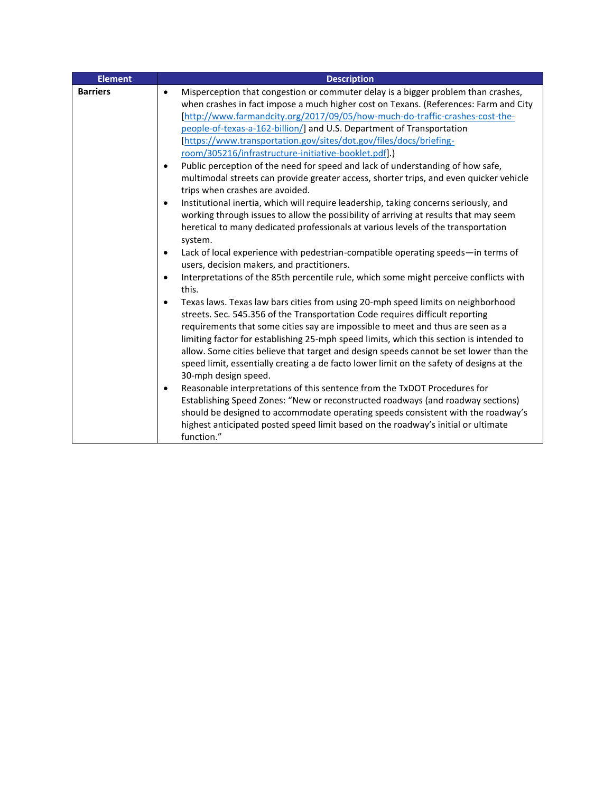| <b>Element</b>  | <b>Description</b>                                                                                                                                                                                                                                                                                                                                                                                                                                                                                                                                                                                                                                                                                                                                                                                                                                                                                                                                                                                                                                                                                                                                                                                                                                                                                                                                                                                                                                                                                                                                                                                                                                                                                                                                                                                                                                                                                                                                                 |
|-----------------|--------------------------------------------------------------------------------------------------------------------------------------------------------------------------------------------------------------------------------------------------------------------------------------------------------------------------------------------------------------------------------------------------------------------------------------------------------------------------------------------------------------------------------------------------------------------------------------------------------------------------------------------------------------------------------------------------------------------------------------------------------------------------------------------------------------------------------------------------------------------------------------------------------------------------------------------------------------------------------------------------------------------------------------------------------------------------------------------------------------------------------------------------------------------------------------------------------------------------------------------------------------------------------------------------------------------------------------------------------------------------------------------------------------------------------------------------------------------------------------------------------------------------------------------------------------------------------------------------------------------------------------------------------------------------------------------------------------------------------------------------------------------------------------------------------------------------------------------------------------------------------------------------------------------------------------------------------------------|
| <b>Barriers</b> | Misperception that congestion or commuter delay is a bigger problem than crashes,<br>$\bullet$<br>when crashes in fact impose a much higher cost on Texans. (References: Farm and City<br>[http://www.farmandcity.org/2017/09/05/how-much-do-traffic-crashes-cost-the-<br>people-of-texas-a-162-billion/] and U.S. Department of Transportation<br>[https://www.transportation.gov/sites/dot.gov/files/docs/briefing-<br>room/305216/infrastructure-initiative-booklet.pdf].)<br>Public perception of the need for speed and lack of understanding of how safe,<br>٠<br>multimodal streets can provide greater access, shorter trips, and even quicker vehicle<br>trips when crashes are avoided.<br>Institutional inertia, which will require leadership, taking concerns seriously, and<br>working through issues to allow the possibility of arriving at results that may seem<br>heretical to many dedicated professionals at various levels of the transportation<br>system.<br>Lack of local experience with pedestrian-compatible operating speeds-in terms of<br>users, decision makers, and practitioners.<br>Interpretations of the 85th percentile rule, which some might perceive conflicts with<br>this.<br>Texas laws. Texas law bars cities from using 20-mph speed limits on neighborhood<br>streets. Sec. 545.356 of the Transportation Code requires difficult reporting<br>requirements that some cities say are impossible to meet and thus are seen as a<br>limiting factor for establishing 25-mph speed limits, which this section is intended to<br>allow. Some cities believe that target and design speeds cannot be set lower than the<br>speed limit, essentially creating a de facto lower limit on the safety of designs at the<br>30-mph design speed.<br>Reasonable interpretations of this sentence from the TxDOT Procedures for<br>$\bullet$<br>Establishing Speed Zones: "New or reconstructed roadways (and roadway sections) |
|                 | should be designed to accommodate operating speeds consistent with the roadway's<br>highest anticipated posted speed limit based on the roadway's initial or ultimate<br>function."                                                                                                                                                                                                                                                                                                                                                                                                                                                                                                                                                                                                                                                                                                                                                                                                                                                                                                                                                                                                                                                                                                                                                                                                                                                                                                                                                                                                                                                                                                                                                                                                                                                                                                                                                                                |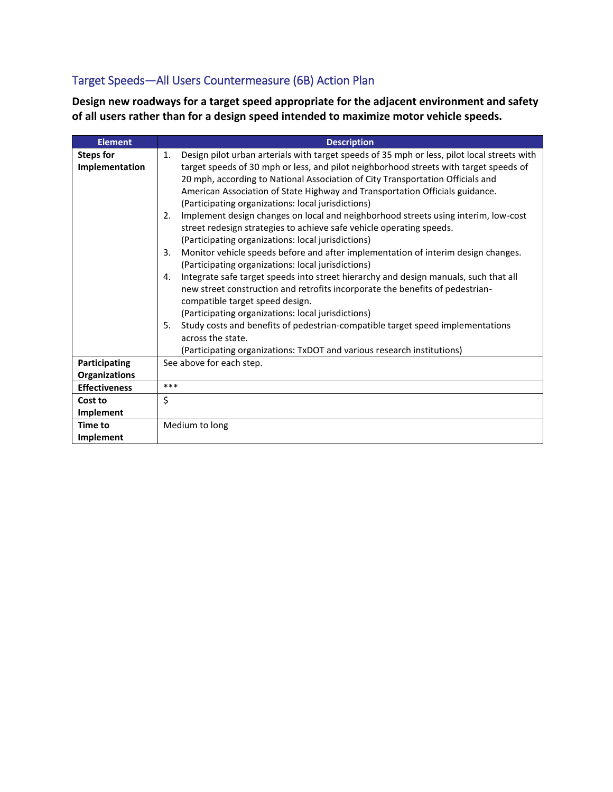## Target Speeds—All Users Countermeasure (6B) Action Plan

**Design new roadways for a target speed appropriate for the adjacent environment and safety of all users rather than for a design speed intended to maximize motor vehicle speeds.**

| <b>Element</b>       | <b>Description</b>                                                                                |
|----------------------|---------------------------------------------------------------------------------------------------|
| <b>Steps for</b>     | Design pilot urban arterials with target speeds of 35 mph or less, pilot local streets with<br>1. |
| Implementation       | target speeds of 30 mph or less, and pilot neighborhood streets with target speeds of             |
|                      | 20 mph, according to National Association of City Transportation Officials and                    |
|                      | American Association of State Highway and Transportation Officials guidance.                      |
|                      | (Participating organizations: local jurisdictions)                                                |
|                      | Implement design changes on local and neighborhood streets using interim, low-cost<br>2.          |
|                      | street redesign strategies to achieve safe vehicle operating speeds.                              |
|                      | (Participating organizations: local jurisdictions)                                                |
|                      | Monitor vehicle speeds before and after implementation of interim design changes.<br>3.           |
|                      | (Participating organizations: local jurisdictions)                                                |
|                      | Integrate safe target speeds into street hierarchy and design manuals, such that all<br>4.        |
|                      | new street construction and retrofits incorporate the benefits of pedestrian-                     |
|                      | compatible target speed design.                                                                   |
|                      | (Participating organizations: local jurisdictions)                                                |
|                      | Study costs and benefits of pedestrian-compatible target speed implementations<br>5.              |
|                      | across the state.                                                                                 |
|                      | (Participating organizations: TxDOT and various research institutions)                            |
| Participating        | See above for each step.                                                                          |
| <b>Organizations</b> |                                                                                                   |
| <b>Effectiveness</b> | ***                                                                                               |
| Cost to              | \$                                                                                                |
| Implement            |                                                                                                   |
| Time to              | Medium to long                                                                                    |
| <b>Implement</b>     |                                                                                                   |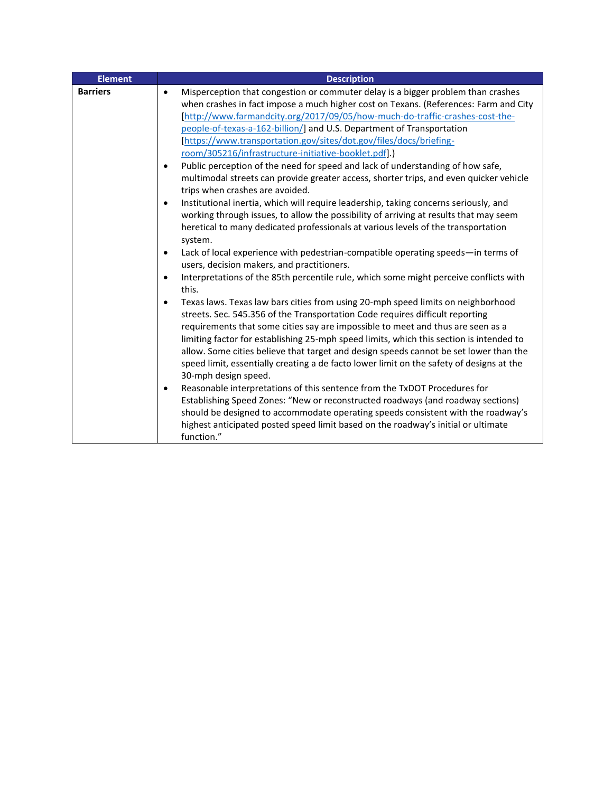| <b>Element</b>  | <b>Description</b>                                                                                                                                                                                                                                                                                                                                                                                                                                                                                                                                                                                                                                                                                                                                                                                                                                                                                                                                                                                                                                                                                                                                                                                                                                                                                                                                                                                                                                                                                                                                                                                                                                                                                                                                       |
|-----------------|----------------------------------------------------------------------------------------------------------------------------------------------------------------------------------------------------------------------------------------------------------------------------------------------------------------------------------------------------------------------------------------------------------------------------------------------------------------------------------------------------------------------------------------------------------------------------------------------------------------------------------------------------------------------------------------------------------------------------------------------------------------------------------------------------------------------------------------------------------------------------------------------------------------------------------------------------------------------------------------------------------------------------------------------------------------------------------------------------------------------------------------------------------------------------------------------------------------------------------------------------------------------------------------------------------------------------------------------------------------------------------------------------------------------------------------------------------------------------------------------------------------------------------------------------------------------------------------------------------------------------------------------------------------------------------------------------------------------------------------------------------|
| <b>Barriers</b> | Misperception that congestion or commuter delay is a bigger problem than crashes<br>$\bullet$<br>when crashes in fact impose a much higher cost on Texans. (References: Farm and City<br>[http://www.farmandcity.org/2017/09/05/how-much-do-traffic-crashes-cost-the-<br>people-of-texas-a-162-billion/] and U.S. Department of Transportation<br>[https://www.transportation.gov/sites/dot.gov/files/docs/briefing-<br>room/305216/infrastructure-initiative-booklet.pdf].)<br>Public perception of the need for speed and lack of understanding of how safe,<br>multimodal streets can provide greater access, shorter trips, and even quicker vehicle<br>trips when crashes are avoided.<br>Institutional inertia, which will require leadership, taking concerns seriously, and<br>working through issues, to allow the possibility of arriving at results that may seem<br>heretical to many dedicated professionals at various levels of the transportation<br>system.<br>Lack of local experience with pedestrian-compatible operating speeds-in terms of<br>users, decision makers, and practitioners.<br>Interpretations of the 85th percentile rule, which some might perceive conflicts with<br>this.<br>Texas laws. Texas law bars cities from using 20-mph speed limits on neighborhood<br>streets. Sec. 545.356 of the Transportation Code requires difficult reporting<br>requirements that some cities say are impossible to meet and thus are seen as a<br>limiting factor for establishing 25-mph speed limits, which this section is intended to<br>allow. Some cities believe that target and design speeds cannot be set lower than the<br>speed limit, essentially creating a de facto lower limit on the safety of designs at the |
|                 | 30-mph design speed.                                                                                                                                                                                                                                                                                                                                                                                                                                                                                                                                                                                                                                                                                                                                                                                                                                                                                                                                                                                                                                                                                                                                                                                                                                                                                                                                                                                                                                                                                                                                                                                                                                                                                                                                     |
|                 | Reasonable interpretations of this sentence from the TxDOT Procedures for<br>$\bullet$<br>Establishing Speed Zones: "New or reconstructed roadways (and roadway sections)<br>should be designed to accommodate operating speeds consistent with the roadway's<br>highest anticipated posted speed limit based on the roadway's initial or ultimate<br>function."                                                                                                                                                                                                                                                                                                                                                                                                                                                                                                                                                                                                                                                                                                                                                                                                                                                                                                                                                                                                                                                                                                                                                                                                                                                                                                                                                                                         |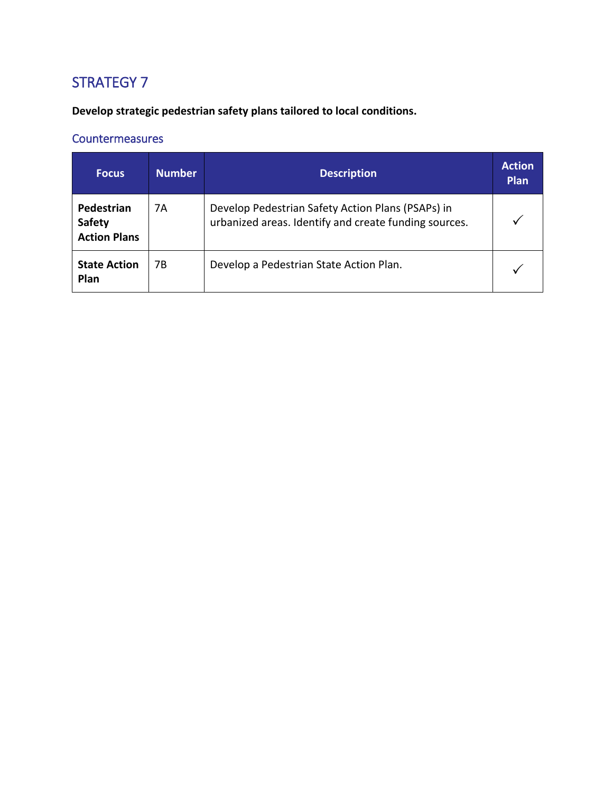**Develop strategic pedestrian safety plans tailored to local conditions.**

| <b>Focus</b>                                       | <b>Number</b> | <b>Description</b>                                                                                         | <b>Action</b><br>Plan |
|----------------------------------------------------|---------------|------------------------------------------------------------------------------------------------------------|-----------------------|
| Pedestrian<br><b>Safety</b><br><b>Action Plans</b> | 7Α            | Develop Pedestrian Safety Action Plans (PSAPs) in<br>urbanized areas. Identify and create funding sources. |                       |
| <b>State Action</b><br>Plan                        | 7В            | Develop a Pedestrian State Action Plan.                                                                    |                       |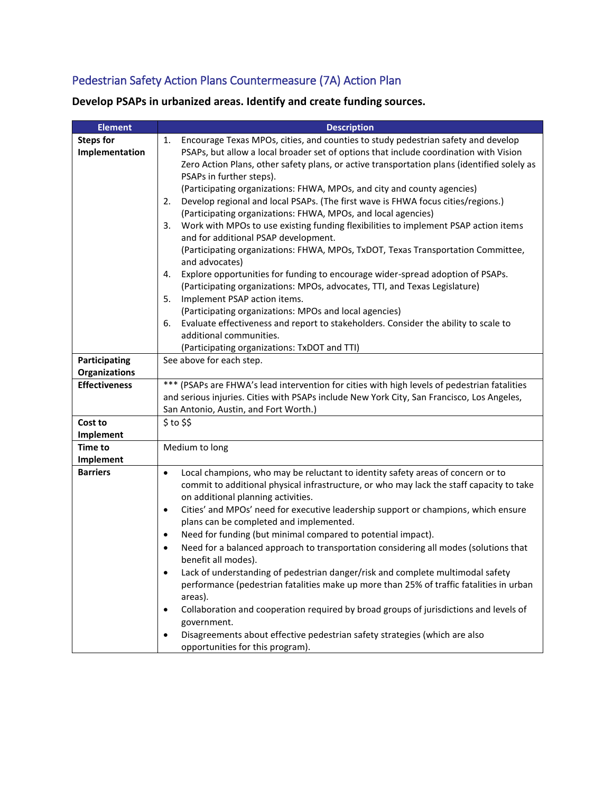## Pedestrian Safety Action Plans Countermeasure (7A) Action Plan

| <b>Element</b>       | <b>Description</b>                                                                                |
|----------------------|---------------------------------------------------------------------------------------------------|
| <b>Steps for</b>     | Encourage Texas MPOs, cities, and counties to study pedestrian safety and develop<br>1.           |
| Implementation       | PSAPs, but allow a local broader set of options that include coordination with Vision             |
|                      | Zero Action Plans, other safety plans, or active transportation plans (identified solely as       |
|                      | PSAPs in further steps).                                                                          |
|                      | (Participating organizations: FHWA, MPOs, and city and county agencies)                           |
|                      | Develop regional and local PSAPs. (The first wave is FHWA focus cities/regions.)<br>2.            |
|                      | (Participating organizations: FHWA, MPOs, and local agencies)                                     |
|                      | Work with MPOs to use existing funding flexibilities to implement PSAP action items<br>3.         |
|                      | and for additional PSAP development.                                                              |
|                      | (Participating organizations: FHWA, MPOs, TxDOT, Texas Transportation Committee,                  |
|                      | and advocates)                                                                                    |
|                      | Explore opportunities for funding to encourage wider-spread adoption of PSAPs.<br>4.              |
|                      | (Participating organizations: MPOs, advocates, TTI, and Texas Legislature)                        |
|                      | Implement PSAP action items.<br>5.                                                                |
|                      | (Participating organizations: MPOs and local agencies)                                            |
|                      | Evaluate effectiveness and report to stakeholders. Consider the ability to scale to<br>6.         |
|                      | additional communities.                                                                           |
|                      | (Participating organizations: TxDOT and TTI)                                                      |
| Participating        | See above for each step.                                                                          |
| <b>Organizations</b> |                                                                                                   |
| <b>Effectiveness</b> | *** (PSAPs are FHWA's lead intervention for cities with high levels of pedestrian fatalities      |
|                      | and serious injuries. Cities with PSAPs include New York City, San Francisco, Los Angeles,        |
|                      | San Antonio, Austin, and Fort Worth.)                                                             |
| Cost to              | $$$ to $$$                                                                                        |
| Implement            |                                                                                                   |
| <b>Time to</b>       | Medium to long                                                                                    |
| Implement            |                                                                                                   |
| <b>Barriers</b>      | Local champions, who may be reluctant to identity safety areas of concern or to<br>$\bullet$      |
|                      | commit to additional physical infrastructure, or who may lack the staff capacity to take          |
|                      | on additional planning activities.                                                                |
|                      | Cities' and MPOs' need for executive leadership support or champions, which ensure<br>٠           |
|                      | plans can be completed and implemented.                                                           |
|                      | Need for funding (but minimal compared to potential impact).<br>٠                                 |
|                      | Need for a balanced approach to transportation considering all modes (solutions that<br>$\bullet$ |
|                      | benefit all modes).                                                                               |
|                      | Lack of understanding of pedestrian danger/risk and complete multimodal safety<br>$\bullet$       |
|                      | performance (pedestrian fatalities make up more than 25% of traffic fatalities in urban           |
|                      | areas).                                                                                           |
|                      | Collaboration and cooperation required by broad groups of jurisdictions and levels of<br>٠        |
|                      | government.                                                                                       |
|                      | Disagreements about effective pedestrian safety strategies (which are also<br>$\bullet$           |
|                      | opportunities for this program).                                                                  |

**Develop PSAPs in urbanized areas. Identify and create funding sources.**